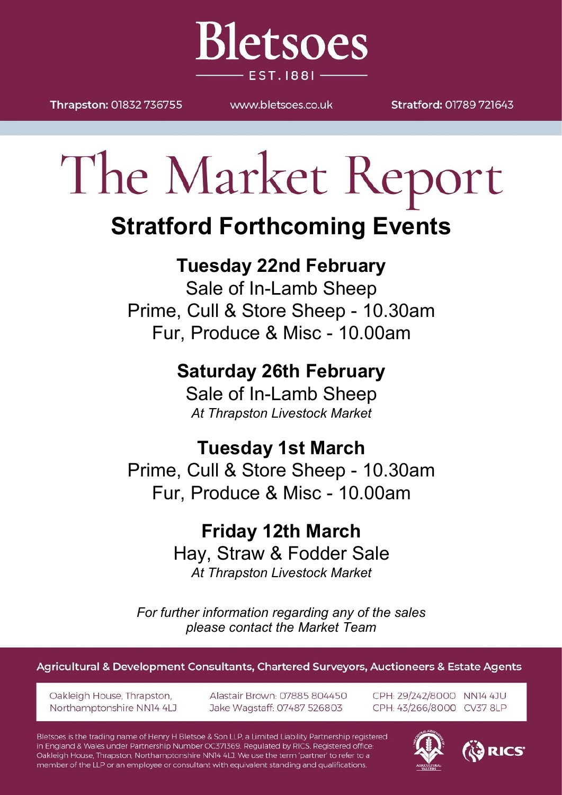Thrapston: 01832 736755

MAAAN bletsnes couk

**Bletsoes** 

**EST. 1881-**

Stratford: 01789 721643

# The Market Report

## **Stratford Forthcoming Events**

#### **Tuesday 22nd February**

Sale of In-Lamb Sheep Prime, Cull & Store Sheep - 10.30am Fur, Produce & Misc - 10.00am

### **Saturday 26th February**

Sale of In-Lamb Sheep *At Thrapston Livestock Market*

#### **Tuesday 1st March**

Prime, Cull & Store Sheep - 10.30am Fur, Produce & Misc - 10.00am

#### **Friday 12th March** Hay, Straw & Fodder Sale *At Thrapston Livestock Market*

*For further information regarding any of the sales please contact the Market Team*

Agricultural & Development Consultants, Chartered Surveyors, Auctioneers & Estate Agents

Oakleigh House, Thrapston, Northamptonshire NN14 4LJ Alastair Brown: 07885 804450 Jake Wagstaff: 07487 526803

CPH: 29/242/8000 NN14 4JU CPH: 43/266/8000 CV37 8LP

Bletsoes is the trading name of Henry H Bletsoe & Son LLP, a Limited Liability Partnership registered in England & Wales under Partnership Number OC371369. Regulated by RICS. Registered office: Oakleigh House, Thrapston, Northamptonshire NN14 4LJ. We use the term 'partner' to refer to a member of the LLP or an employee or consultant with equivalent standing and qualifications.



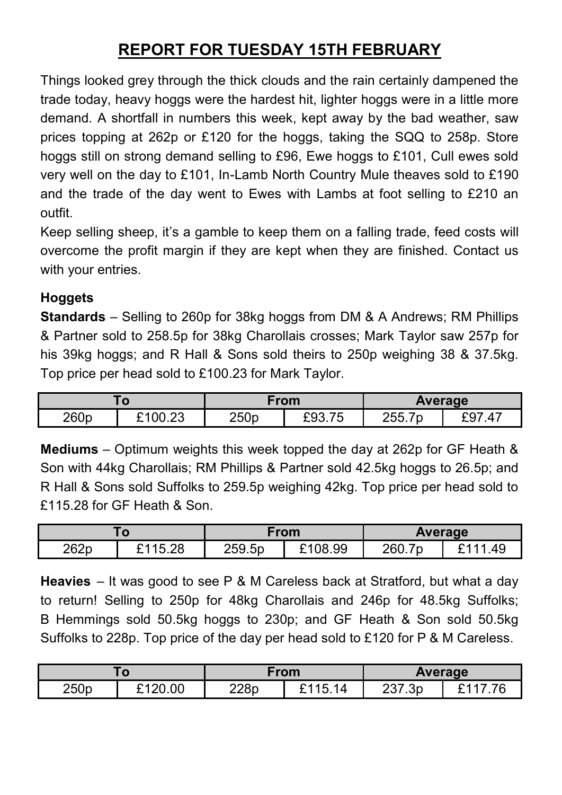#### **REPORT FOR TUESDAY 15TH FEBRUARY**

Things looked grey through the thick clouds and the rain certainly dampened the trade today, heavy hoggs were the hardest hit, lighter hoggs were in a little more demand. A shortfall in numbers this week, kept away by the bad weather, saw prices topping at 262p or £120 for the hoggs, taking the SQQ to 258p. Store hoggs still on strong demand selling to £96, Ewe hoggs to £101, Cull ewes sold very well on the day to £101, In-Lamb North Country Mule theaves sold to £190 and the trade of the day went to Ewes with Lambs at foot selling to £210 an outfit.

Keep selling sheep, it's a gamble to keep them on a falling trade, feed costs will overcome the profit margin if they are kept when they are finished. Contact us with your entries.

#### **Hoggets**

**Standards** – Selling to 260p for 38kg hoggs from DM & A Andrews; RM Phillips & Partner sold to 258.5p for 38kg Charollais crosses; Mark Taylor saw 257p for his 39kg hoggs; and R Hall & Sons sold theirs to 250p weighing 38 & 37.5kg. Top price per head sold to £100.23 for Mark Taylor.

| 7 U  |                         | From |        | <b>Average</b>   |         |
|------|-------------------------|------|--------|------------------|---------|
| 260p | <u>ን1በበ 23.</u><br>∪…∠∪ | 250p | £93.75 | 255 7n<br>200. I | 4<br>÷ч |

**Mediums** – Optimum weights this week topped the day at 262p for GF Heath & Son with 44kg Charollais; RM Phillips & Partner sold 42.5kg hoggs to 26.5p; and R Hall & Sons sold Suffolks to 259.5p weighing 42kg. Top price per head sold to £115.28 for GF Heath & Son.

|      |                     | From   |                   | <b>Average</b>     |                             |
|------|---------------------|--------|-------------------|--------------------|-----------------------------|
| 262p | 5.28<br><b>0115</b> | 259.5p | <sup>108.99</sup> | 260.7<br><b>70</b> | <b>CAAA</b><br>$40^{\circ}$ |

**Heavies** – It was good to see P & M Careless back at Stratford, but what a day to return! Selling to 250p for 48kg Charollais and 246p for 48.5kg Suffolks; B Hemmings sold 50.5kg hoggs to 230p; and GF Heath & Son sold 50.5kg Suffolks to 228p. Top price of the day per head sold to £120 for P & M Careless.

| w    |         | From |            | Average |  |
|------|---------|------|------------|---------|--|
| 250p | £120.00 | 228p | ?115<br>14 | 237.3p  |  |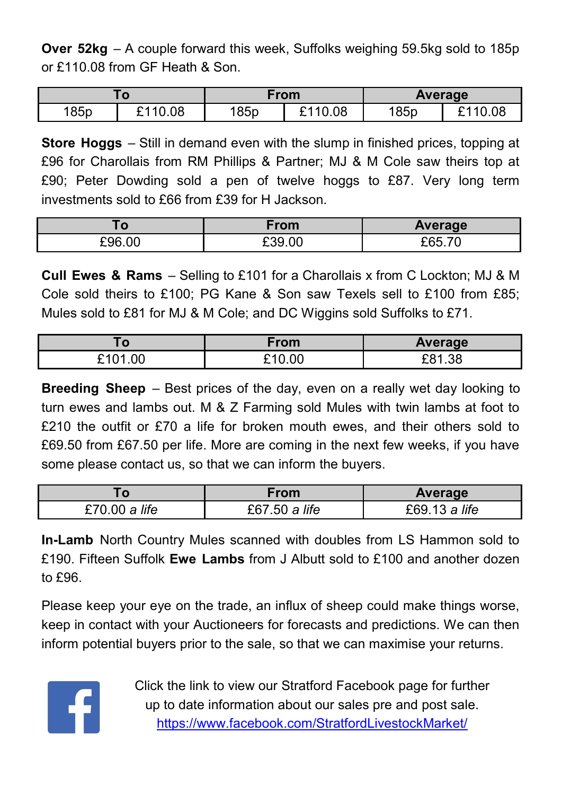**Over 52kg** – A couple forward this week, Suffolks weighing 59.5kg sold to 185p or £110.08 from GF Heath & Son.

|      |         | From |         | Average |         |
|------|---------|------|---------|---------|---------|
| 185p | £110.08 | 185p | £110.08 | 185p    | £110.08 |

**Store Hoggs** – Still in demand even with the slump in finished prices, topping at £96 for Charollais from RM Phillips & Partner; MJ & M Cole saw theirs top at £90; Peter Dowding sold a pen of twelve hoggs to £87. Very long term investments sold to £66 from £39 for H Jackson.

| O           | From   | Average                  |
|-------------|--------|--------------------------|
| .00<br>−96ء | £39.00 | $\overline{\phantom{a}}$ |

**Cull Ewes & Rams** – Selling to £101 for a Charollais x from C Lockton; MJ & M Cole sold theirs to £100; PG Kane & Son saw Texels sell to £100 from £85; Mules sold to £81 for MJ & M Cole; and DC Wiggins sold Suffolks to £71.

| . U                 | From | <b>Average</b> |
|---------------------|------|----------------|
| <u>ົ</u> າດາ<br>.00 | 0.00 | ີດ-1<br>. ას   |

**Breeding Sheep** – Best prices of the day, even on a really wet day looking to turn ewes and lambs out. M & Z Farming sold Mules with twin lambs at foot to £210 the outfit or £70 a life for broken mouth ewes, and their others sold to £69.50 from £67.50 per life. More are coming in the next few weeks, if you have some please contact us, so that we can inform the buyers.

|               | From          | Average       |  |
|---------------|---------------|---------------|--|
| £70.00 a life | £67.50 a life | £69.13 a life |  |

**In-Lamb** North Country Mules scanned with doubles from LS Hammon sold to £190. Fifteen Suffolk **Ewe Lambs** from J Albutt sold to £100 and another dozen to £96.

Please keep your eye on the trade, an influx of sheep could make things worse, keep in contact with your Auctioneers for forecasts and predictions. We can then inform potential buyers prior to the sale, so that we can maximise your returns.



Click the link to view our Stratford Facebook page for further up to date information about our sales pre and post sale. <https://www.facebook.com/StratfordLivestockMarket/>